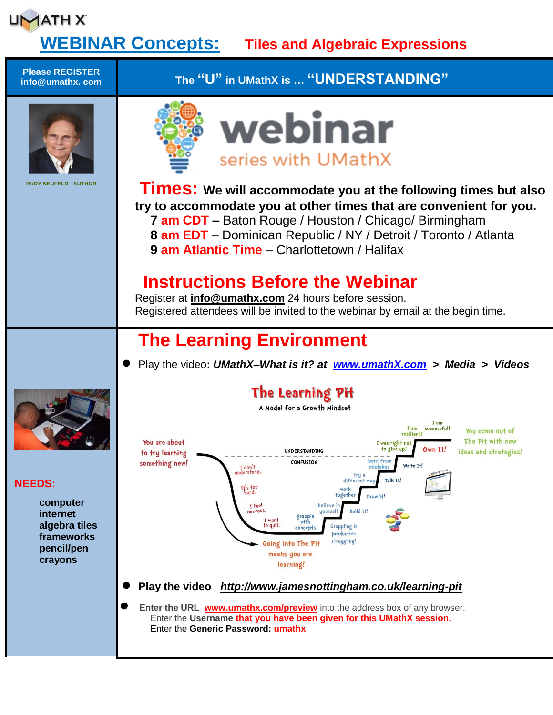#### **UMATH X WEBINAR Concepts: Tiles and Algebraic Expressions Please REGISTER info@umathx. com The "U" in UMathX is … "UNDERSTANDING"** webinar series with UMathX **RUDY NEUFELD - AUTHOR Times:** We will accommodate you at the following times but also **try to accommodate you at other times that are convenient for you. 7 am CDT –** Baton Rouge / Houston / Chicago/ Birmingham **8 am EDT** – Dominican Republic / NY / Detroit / Toronto / Atlanta **9 am Atlantic Time** – Charlottetown / Halifax  **Instructions Before the Webinar** Register at **[info@umathx.com](mailto:info@umathx.com)** 24 hours before session. Registered attendees will be invited to the webinar by email at the begin time. **The Learning Environment** Play the video**:** *UMathX–What is it? at [www.umathX.com](http://www.umathx.com/) > Media > Videos* The Learning Pit A Model for a Growth Mindset I am successful!  $I$  am You come out of resilie The Pit with new You are about I was right n UNDERSTANDING to give up! Own It! ideas and strategies! to try learning learn from something new! CONFUSION Write Tt I don't<br>derstand. differe Talk T+! **NEEDS:**  $H<sub>1</sub>$ s too togethe Draw It. **computer** T feel Ruild 14 **internet** grapple<br>with **algebra tiles** Grappling is to auit concept productive **frameworks** struggling! Going into The Pit **pencil/pen** means you are **crayons** learning! **Play the video** *<http://www.jamesnottingham.co.uk/learning-pit>* **Enter the URL [www.umathx.com/preview](http://www.umathx.com/preview)** into the address box of any browser. Enter the **Username that you have been given for this UMathX session.** Enter the **Generic Password: umathx**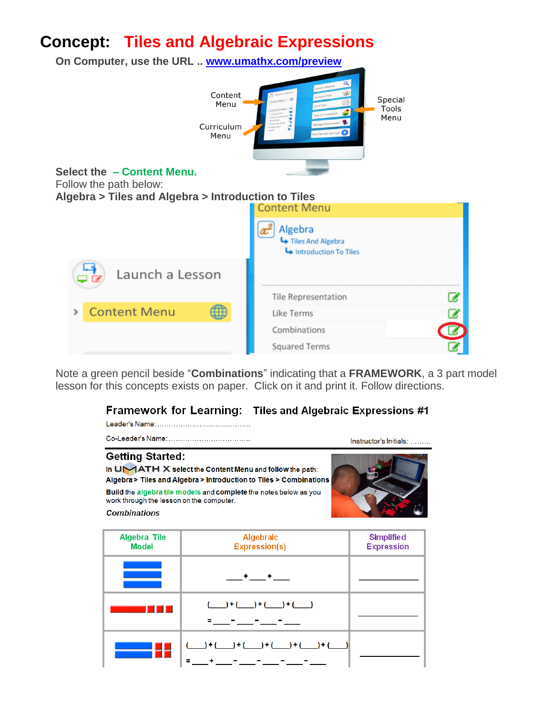# **Concept: Tiles and Algebraic Expressions**



Note a green pencil beside "**Combinations**" indicating that a **FRAMEWORK**, a 3 part model lesson for this concepts exists on paper. Click on it and print it. Follow directions.

#### Framework for Learning: Tiles and Algebraic Expressions #1

|                                                                                            | Instructor's Initials:                                                                                                                                                                                    |                                        |
|--------------------------------------------------------------------------------------------|-----------------------------------------------------------------------------------------------------------------------------------------------------------------------------------------------------------|----------------------------------------|
| <b>Getting Started:</b><br>work through the lesson on the computer.<br><b>Combinations</b> | In UMATH X select the Content Menu and follow the path:<br>Algebra > Tiles and Algebra > Introduction to Tiles > Combinations<br><b>Build</b> the algebra tile models and complete the notes below as you |                                        |
| Algebra Tile<br>Model                                                                      | <b>Algebraic</b><br>Expression(s)                                                                                                                                                                         | <b>Simplified</b><br><b>Expression</b> |
|                                                                                            |                                                                                                                                                                                                           |                                        |
|                                                                                            | ____) + (_____) + (____) + (____)                                                                                                                                                                         |                                        |
|                                                                                            |                                                                                                                                                                                                           |                                        |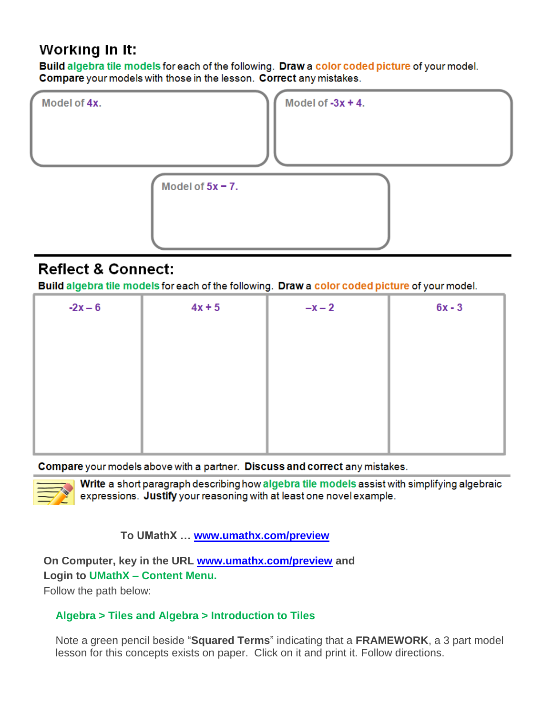# **Working In It:**

Build algebra tile models for each of the following. Draw a color coded picture of your model. Compare your models with those in the lesson. Correct any mistakes.



# **Reflect & Connect:**

Build algebra tile models for each of the following. Draw a color coded picture of your model.

| $4x + 5$ | $-x-2$ | $6x - 3$ |
|----------|--------|----------|
|          |        |          |
|          |        |          |
|          |        |          |
|          |        |          |
|          |        |          |
|          |        |          |

#### Compare your models above with a partner. Discuss and correct any mistakes.



Write a short paragraph describing how algebra tile models assist with simplifying algebraic expressions. Justify your reasoning with at least one novel example.

### **To UMathX … [www.umathx.com/preview](http://www.umathx.com/preview)**

**On Computer, key in the URL [www.umathx.com/preview](http://www.umathx.com/preview) and Login to UMathX – Content Menu.**

Follow the path below:

### **Algebra > Tiles and Algebra > Introduction to Tiles**

Note a green pencil beside "**Squared Terms**" indicating that a **FRAMEWORK**, a 3 part model lesson for this concepts exists on paper. Click on it and print it. Follow directions.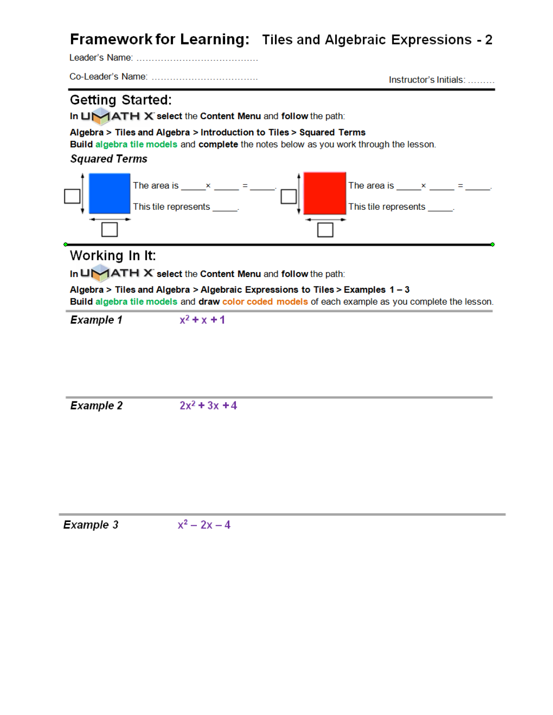# Framework for Learning: Tiles and Algebraic Expressions - 2

Instructor's Initials: .........

### **Getting Started:**

In UMATH X select the Content Menu and follow the path:

Algebra > Tiles and Algebra > Introduction to Tiles > Squared Terms

Build algebra tile models and complete the notes below as you work through the lesson.

#### **Squared Terms**



### Working In It:

In UMATH X select the Content Menu and follow the path:

Algebra > Tiles and Algebra > Algebraic Expressions to Tiles > Examples 1 - 3

Build algebra tile models and draw color coded models of each example as you complete the lesson.

 $x^2 + x + 1$ **Example 1** 

**Example 2**  $2x^2$  + 3x + 4

Example 3  $x^2 - 2x - 4$